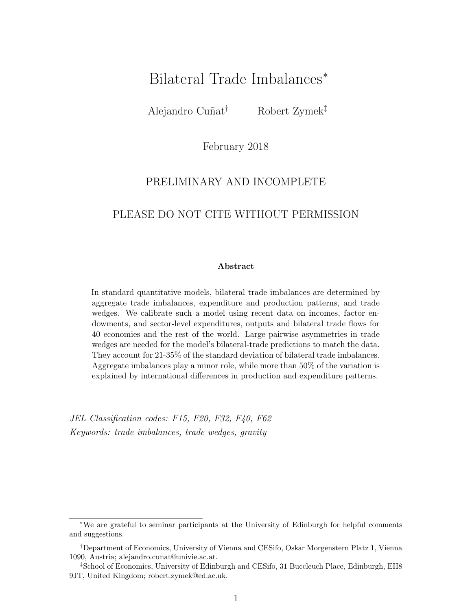# Bilateral Trade Imbalances<sup>∗</sup>

Alejandro Cuñat† Robert Zymek‡

February 2018

### PRELIMINARY AND INCOMPLETE

### PLEASE DO NOT CITE WITHOUT PERMISSION

#### Abstract

In standard quantitative models, bilateral trade imbalances are determined by aggregate trade imbalances, expenditure and production patterns, and trade wedges. We calibrate such a model using recent data on incomes, factor endowments, and sector-level expenditures, outputs and bilateral trade flows for 40 economies and the rest of the world. Large pairwise asymmetries in trade wedges are needed for the model's bilateral-trade predictions to match the data. They account for 21-35% of the standard deviation of bilateral trade imbalances. Aggregate imbalances play a minor role, while more than 50% of the variation is explained by international differences in production and expenditure patterns.

JEL Classification codes: F15, F20, F32, F40, F62 Keywords: trade imbalances, trade wedges, gravity

<sup>∗</sup>We are grateful to seminar participants at the University of Edinburgh for helpful comments and suggestions.

<sup>†</sup>Department of Economics, University of Vienna and CESifo, Oskar Morgenstern Platz 1, Vienna 1090, Austria; alejandro.cunat@univie.ac.at.

<sup>‡</sup>School of Economics, University of Edinburgh and CESifo, 31 Buccleuch Place, Edinburgh, EH8 9JT, United Kingdom; robert.zymek@ed.ac.uk.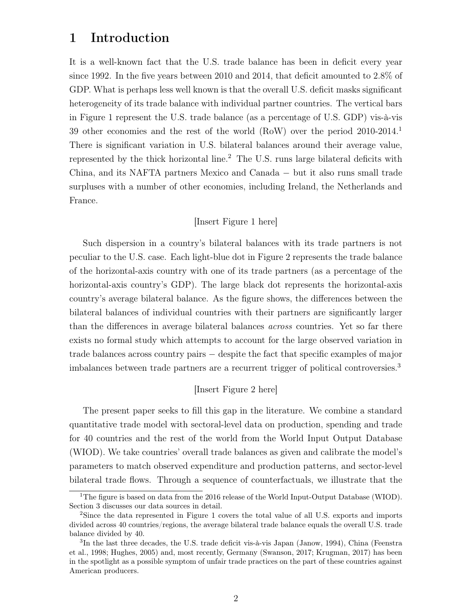# 1 Introduction

It is a well-known fact that the U.S. trade balance has been in deficit every year since 1992. In the five years between 2010 and 2014, that deficit amounted to 2.8% of GDP. What is perhaps less well known is that the overall U.S. deficit masks significant heterogeneity of its trade balance with individual partner countries. The vertical bars in Figure 1 represent the U.S. trade balance (as a percentage of U.S. GDP) vis-à-vis 39 other economies and the rest of the world (RoW) over the period 2010-2014.<sup>1</sup> There is significant variation in U.S. bilateral balances around their average value, represented by the thick horizontal line.<sup>2</sup> The U.S. runs large bilateral deficits with China, and its NAFTA partners Mexico and Canada − but it also runs small trade surpluses with a number of other economies, including Ireland, the Netherlands and France.

### [Insert Figure 1 here]

Such dispersion in a country's bilateral balances with its trade partners is not peculiar to the U.S. case. Each light-blue dot in Figure 2 represents the trade balance of the horizontal-axis country with one of its trade partners (as a percentage of the horizontal-axis country's GDP). The large black dot represents the horizontal-axis country's average bilateral balance. As the figure shows, the differences between the bilateral balances of individual countries with their partners are significantly larger than the differences in average bilateral balances across countries. Yet so far there exists no formal study which attempts to account for the large observed variation in trade balances across country pairs − despite the fact that specific examples of major imbalances between trade partners are a recurrent trigger of political controversies.<sup>3</sup>

#### [Insert Figure 2 here]

The present paper seeks to fill this gap in the literature. We combine a standard quantitative trade model with sectoral-level data on production, spending and trade for 40 countries and the rest of the world from the World Input Output Database (WIOD). We take countries' overall trade balances as given and calibrate the model's parameters to match observed expenditure and production patterns, and sector-level bilateral trade flows. Through a sequence of counterfactuals, we illustrate that the

<sup>&</sup>lt;sup>1</sup>The figure is based on data from the 2016 release of the World Input-Output Database (WIOD). Section 3 discusses our data sources in detail.

<sup>2</sup>Since the data represented in Figure 1 covers the total value of all U.S. exports and imports divided across 40 countries/regions, the average bilateral trade balance equals the overall U.S. trade balance divided by 40.

<sup>&</sup>lt;sup>3</sup>In the last three decades, the U.S. trade deficit vis-à-vis Japan (Janow, 1994), China (Feenstra et al., 1998; Hughes, 2005) and, most recently, Germany (Swanson, 2017; Krugman, 2017) has been in the spotlight as a possible symptom of unfair trade practices on the part of these countries against American producers.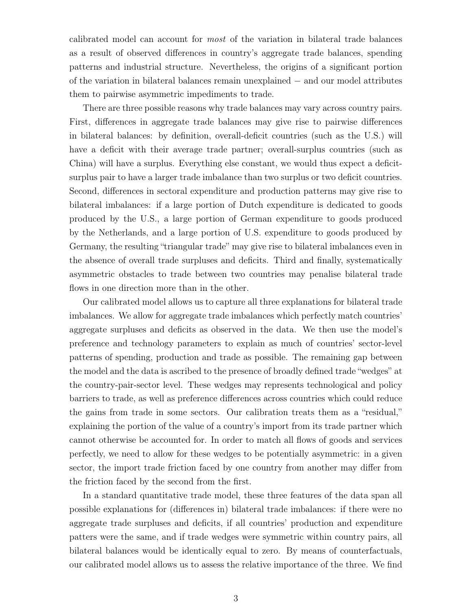calibrated model can account for most of the variation in bilateral trade balances as a result of observed differences in country's aggregate trade balances, spending patterns and industrial structure. Nevertheless, the origins of a significant portion of the variation in bilateral balances remain unexplained − and our model attributes them to pairwise asymmetric impediments to trade.

There are three possible reasons why trade balances may vary across country pairs. First, differences in aggregate trade balances may give rise to pairwise differences in bilateral balances: by definition, overall-deficit countries (such as the U.S.) will have a deficit with their average trade partner; overall-surplus countries (such as China) will have a surplus. Everything else constant, we would thus expect a deficitsurplus pair to have a larger trade imbalance than two surplus or two deficit countries. Second, differences in sectoral expenditure and production patterns may give rise to bilateral imbalances: if a large portion of Dutch expenditure is dedicated to goods produced by the U.S., a large portion of German expenditure to goods produced by the Netherlands, and a large portion of U.S. expenditure to goods produced by Germany, the resulting "triangular trade" may give rise to bilateral imbalances even in the absence of overall trade surpluses and deficits. Third and finally, systematically asymmetric obstacles to trade between two countries may penalise bilateral trade flows in one direction more than in the other.

Our calibrated model allows us to capture all three explanations for bilateral trade imbalances. We allow for aggregate trade imbalances which perfectly match countries' aggregate surpluses and deficits as observed in the data. We then use the model's preference and technology parameters to explain as much of countries' sector-level patterns of spending, production and trade as possible. The remaining gap between the model and the data is ascribed to the presence of broadly defined trade "wedges" at the country-pair-sector level. These wedges may represents technological and policy barriers to trade, as well as preference differences across countries which could reduce the gains from trade in some sectors. Our calibration treats them as a "residual," explaining the portion of the value of a country's import from its trade partner which cannot otherwise be accounted for. In order to match all flows of goods and services perfectly, we need to allow for these wedges to be potentially asymmetric: in a given sector, the import trade friction faced by one country from another may differ from the friction faced by the second from the first.

In a standard quantitative trade model, these three features of the data span all possible explanations for (differences in) bilateral trade imbalances: if there were no aggregate trade surpluses and deficits, if all countries' production and expenditure patters were the same, and if trade wedges were symmetric within country pairs, all bilateral balances would be identically equal to zero. By means of counterfactuals, our calibrated model allows us to assess the relative importance of the three. We find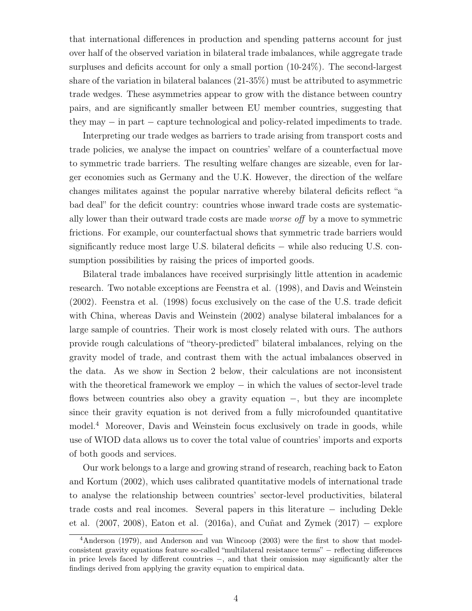that international differences in production and spending patterns account for just over half of the observed variation in bilateral trade imbalances, while aggregate trade surpluses and deficits account for only a small portion (10-24%). The second-largest share of the variation in bilateral balances (21-35%) must be attributed to asymmetric trade wedges. These asymmetries appear to grow with the distance between country pairs, and are significantly smaller between EU member countries, suggesting that they may − in part − capture technological and policy-related impediments to trade.

Interpreting our trade wedges as barriers to trade arising from transport costs and trade policies, we analyse the impact on countries' welfare of a counterfactual move to symmetric trade barriers. The resulting welfare changes are sizeable, even for larger economies such as Germany and the U.K. However, the direction of the welfare changes militates against the popular narrative whereby bilateral deficits reflect "a bad deal" for the deficit country: countries whose inward trade costs are systematically lower than their outward trade costs are made worse off by a move to symmetric frictions. For example, our counterfactual shows that symmetric trade barriers would significantly reduce most large U.S. bilateral deficits – while also reducing U.S. consumption possibilities by raising the prices of imported goods.

Bilateral trade imbalances have received surprisingly little attention in academic research. Two notable exceptions are Feenstra et al. (1998), and Davis and Weinstein (2002). Feenstra et al. (1998) focus exclusively on the case of the U.S. trade deficit with China, whereas Davis and Weinstein (2002) analyse bilateral imbalances for a large sample of countries. Their work is most closely related with ours. The authors provide rough calculations of "theory-predicted" bilateral imbalances, relying on the gravity model of trade, and contrast them with the actual imbalances observed in the data. As we show in Section 2 below, their calculations are not inconsistent with the theoretical framework we employ  $-$  in which the values of sector-level trade flows between countries also obey a gravity equation −, but they are incomplete since their gravity equation is not derived from a fully microfounded quantitative model.<sup>4</sup> Moreover, Davis and Weinstein focus exclusively on trade in goods, while use of WIOD data allows us to cover the total value of countries' imports and exports of both goods and services.

Our work belongs to a large and growing strand of research, reaching back to Eaton and Kortum (2002), which uses calibrated quantitative models of international trade to analyse the relationship between countries' sector-level productivities, bilateral trade costs and real incomes. Several papers in this literature − including Dekle et al. (2007, 2008), Eaton et al. (2016a), and Cuñat and Zymek (2017) − explore

<sup>4</sup>Anderson (1979), and Anderson and van Wincoop (2003) were the first to show that modelconsistent gravity equations feature so-called "multilateral resistance terms" − reflecting differences in price levels faced by different countries −, and that their omission may significantly alter the findings derived from applying the gravity equation to empirical data.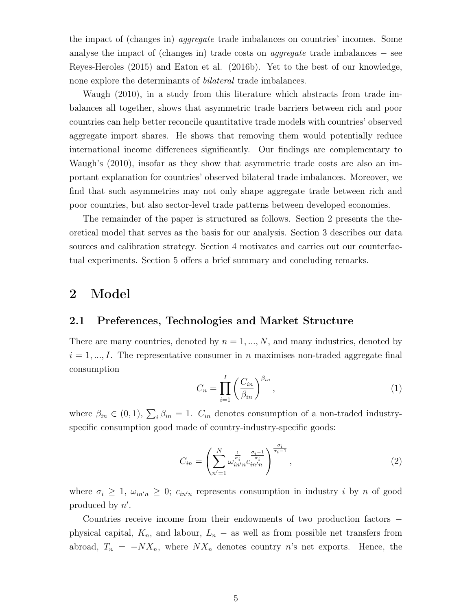the impact of (changes in) aggregate trade imbalances on countries' incomes. Some analyse the impact of (changes in) trade costs on *aggregate* trade imbalances  $-$  see Reyes-Heroles (2015) and Eaton et al. (2016b). Yet to the best of our knowledge, none explore the determinants of bilateral trade imbalances.

Waugh (2010), in a study from this literature which abstracts from trade imbalances all together, shows that asymmetric trade barriers between rich and poor countries can help better reconcile quantitative trade models with countries' observed aggregate import shares. He shows that removing them would potentially reduce international income differences significantly. Our findings are complementary to Waugh's (2010), insofar as they show that asymmetric trade costs are also an important explanation for countries' observed bilateral trade imbalances. Moreover, we find that such asymmetries may not only shape aggregate trade between rich and poor countries, but also sector-level trade patterns between developed economies.

The remainder of the paper is structured as follows. Section 2 presents the theoretical model that serves as the basis for our analysis. Section 3 describes our data sources and calibration strategy. Section 4 motivates and carries out our counterfactual experiments. Section 5 offers a brief summary and concluding remarks.

# 2 Model

### 2.1 Preferences, Technologies and Market Structure

There are many countries, denoted by  $n = 1, ..., N$ , and many industries, denoted by  $i = 1, ..., I$ . The representative consumer in n maximises non-traded aggregate final consumption

$$
C_n = \prod_{i=1}^{I} \left( \frac{C_{in}}{\beta_{in}} \right)^{\beta_{in}},
$$
\n(1)

where  $\beta_{in} \in (0,1)$ ,  $\sum_{i} \beta_{in} = 1$ .  $C_{in}$  denotes consumption of a non-traded industryspecific consumption good made of country-industry-specific goods:

$$
C_{in} = \left(\sum_{n'=1}^{N} \omega_{in'n}^{\frac{1}{\sigma_i}} c_{in'n}^{\frac{\sigma_i-1}{\sigma_i}}\right)^{\frac{\sigma_i}{\sigma_i-1}},
$$
\n(2)

where  $\sigma_i \geq 1$ ,  $\omega_{in'n} \geq 0$ ;  $c_{in'n}$  represents consumption in industry i by n of good produced by  $n'$ .

Countries receive income from their endowments of two production factors − physical capital,  $K_n$ , and labour,  $L_n$  – as well as from possible net transfers from abroad,  $T_n = -NX_n$ , where  $NX_n$  denotes country n's net exports. Hence, the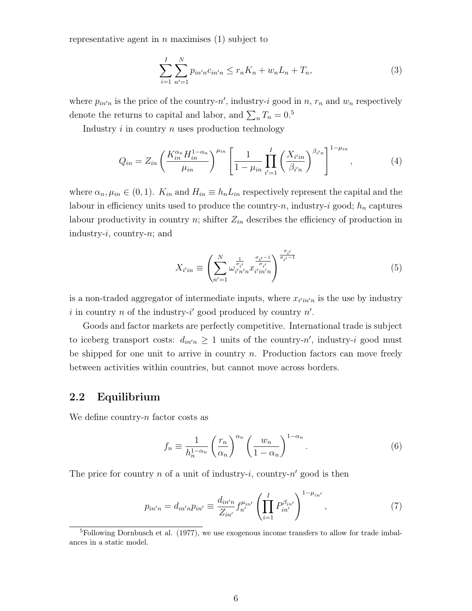representative agent in  $n$  maximises (1) subject to

$$
\sum_{i=1}^{I} \sum_{n'=1}^{N} p_{in'n} c_{in'n} \le r_n K_n + w_n L_n + T_n,
$$
\n(3)

where  $p_{in'n}$  is the price of the country-n', industry-i good in n,  $r_n$  and  $w_n$  respectively denote the returns to capital and labor, and  $\sum_n T_n = 0.5$ 

Industry  $i$  in country  $n$  uses production technology

$$
Q_{in} = Z_{in} \left( \frac{K_{in}^{\alpha_n} H_{in}^{1-\alpha_n}}{\mu_{in}} \right)^{\mu_{in}} \left[ \frac{1}{1-\mu_{in}} \prod_{i'=1}^{I} \left( \frac{X_{i'in}}{\beta_{i'n}} \right)^{\beta_{i'n}} \right]^{1-\mu_{in}},
$$
(4)

where  $\alpha_n, \mu_{in} \in (0,1)$ .  $K_{in}$  and  $H_{in} \equiv h_n L_{in}$  respectively represent the capital and the labour in efficiency units used to produce the country-n, industry-i good;  $h_n$  captures labour productivity in country n; shifter  $Z_{in}$  describes the efficiency of production in industry-*i*, country-*n*; and

$$
X_{i'in} \equiv \left(\sum_{n'=1}^{N} \omega_{i'n'n}^{\frac{1}{\sigma_{i'}}} x_{i'in'n}^{\frac{\sigma_{i'}-1}{\sigma_{i'}}}\right)^{\frac{\sigma_{i'}}{\sigma_{i'}-1}}
$$
(5)

is a non-traded aggregator of intermediate inputs, where  $x_{i'in'n}$  is the use by industry i in country n of the industry-i' good produced by country  $n'$ .

Goods and factor markets are perfectly competitive. International trade is subject to iceberg transport costs:  $d_{in'n} \geq 1$  units of the country-n', industry-i good must be shipped for one unit to arrive in country  $n$ . Production factors can move freely between activities within countries, but cannot move across borders.

### 2.2 Equilibrium

We define country- $n$  factor costs as

$$
f_n \equiv \frac{1}{h_n^{1-\alpha_n}} \left(\frac{r_n}{\alpha_n}\right)^{\alpha_n} \left(\frac{w_n}{1-\alpha_n}\right)^{1-\alpha_n}.
$$
 (6)

The price for country  $n$  of a unit of industry-i, country- $n'$  good is then

$$
p_{in'n} = d_{in'n} p_{in'} \equiv \frac{d_{in'n}}{Z_{in'}} f_{n'}^{\mu_{in'}} \left( \prod_{i=1}^{I} P_{in'}^{\beta_{in'}} \right)^{1-\mu_{in'}} , \qquad (7)
$$

<sup>&</sup>lt;sup>5</sup>Following Dornbusch et al. (1977), we use exogenous income transfers to allow for trade imbalances in a static model.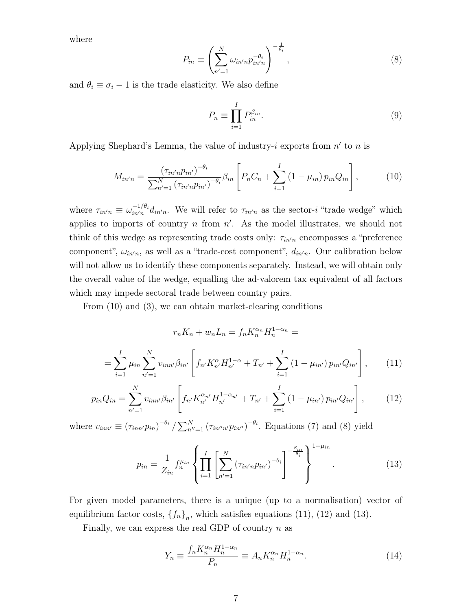where

$$
P_{in} \equiv \left(\sum_{n'=1}^{N} \omega_{in'n} p_{in'n}^{-\theta_i}\right)^{-\frac{1}{\theta_i}},\tag{8}
$$

and  $\theta_i \equiv \sigma_i - 1$  is the trade elasticity. We also define

$$
P_n \equiv \prod_{i=1}^{I} P_{in}^{\beta_{in}}.
$$
\n(9)

Applying Shephard's Lemma, the value of industry-i exports from  $n'$  to n is

$$
M_{in'n} = \frac{(\tau_{in'n} p_{in'})^{-\theta_i}}{\sum_{n'=1}^{N} (\tau_{in'n} p_{in'})^{-\theta_i}} \beta_{in} \left[ P_n C_n + \sum_{i=1}^{I} (1 - \mu_{in}) p_{in} Q_{in} \right],
$$
 (10)

where  $\tau_{in'n} \equiv \omega_{in'n}^{-1/\theta_i}$  $\frac{(-1)^{i}a_{i}}{i\pi}d_{in'n}$ . We will refer to  $\tau_{in'n}$  as the sector-i "trade wedge" which applies to imports of country  $n$  from  $n'$ . As the model illustrates, we should not think of this wedge as representing trade costs only:  $\tau_{in'n}$  encompasses a "preference component",  $\omega_{in'n}$ , as well as a "trade-cost component",  $d_{in'n}$ . Our calibration below will not allow us to identify these components separately. Instead, we will obtain only the overall value of the wedge, equalling the ad-valorem tax equivalent of all factors which may impede sectoral trade between country pairs.

From (10) and (3), we can obtain market-clearing conditions

$$
r_n K_n + w_n L_n = f_n K_n^{\alpha_n} H_n^{1-\alpha_n} =
$$

$$
= \sum_{i=1}^{I} \mu_{in} \sum_{n'=1}^{N} v_{inn'} \beta_{in'} \left[ f_{n'} K_{n'}^{\alpha} H_{n'}^{1-\alpha} + T_{n'} + \sum_{i=1}^{I} (1 - \mu_{in'}) p_{in'} Q_{in'} \right], \qquad (11)
$$

$$
p_{in}Q_{in} = \sum_{n'=1}^{N} v_{inn'}\beta_{in'} \left[ f_{n'}K_{n'}^{\alpha_{n'}} H_{n'}^{1-\alpha_{n'}} + T_{n'} + \sum_{i=1}^{I} \left(1 - \mu_{in'}\right) p_{in'} Q_{in'} \right],
$$
 (12)

where  $v_{inn'} \equiv (\tau_{inn'}p_{in})^{-\theta_i} / \sum_{n''=1}^{N} (\tau_{in''n'}p_{in''})^{-\theta_i}$ . Equations (7) and (8) yield

$$
p_{in} = \frac{1}{Z_{in}} f_n^{\mu_{in}} \left\{ \prod_{i=1}^I \left[ \sum_{n'=1}^N \left( \tau_{in'n} p_{in'} \right)^{-\theta_i} \right]^{-\frac{\beta_{in}}{\theta_i}} \right\}^{1-\mu_{in}}.
$$
 (13)

For given model parameters, there is a unique (up to a normalisation) vector of equilibrium factor costs,  $\{f_n\}_n$ , which satisfies equations (11), (12) and (13).

Finally, we can express the real GDP of country  $n$  as

$$
Y_n \equiv \frac{f_n K_n^{\alpha_n} H_n^{1-\alpha_n}}{P_n} \equiv A_n K_n^{\alpha_n} H_n^{1-\alpha_n}.
$$
\n(14)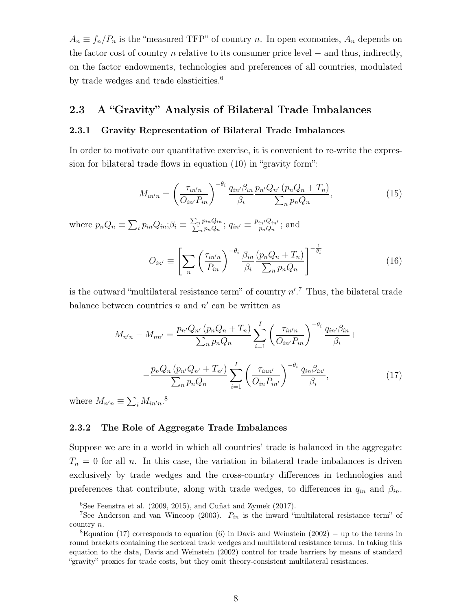$A_n \equiv f_n/P_n$  is the "measured TFP" of country n. In open economies,  $A_n$  depends on the factor cost of country n relative to its consumer price level  $-$  and thus, indirectly, on the factor endowments, technologies and preferences of all countries, modulated by trade wedges and trade elasticities.<sup>6</sup>

### 2.3 A "Gravity" Analysis of Bilateral Trade Imbalances

#### 2.3.1 Gravity Representation of Bilateral Trade Imbalances

In order to motivate our quantitative exercise, it is convenient to re-write the expression for bilateral trade flows in equation (10) in "gravity form":

$$
M_{in'n} = \left(\frac{\tau_{in'n}}{O_{in'}P_{in}}\right)^{-\theta_i} \frac{q_{in'}\beta_{in}}{\beta_i} \frac{p_{n'}Q_{n'}(p_nQ_n + T_n)}{\sum_n p_n Q_n},\tag{15}
$$

where  $p_n Q_n \equiv \sum_i p_{in} Q_{in}; \beta_i \equiv \frac{\sum_n p_{in} Q_{in}}{\sum_n p_n Q_n}$  $\frac{p_{in}Q_{in}}{n\,p_nQ_n};\, q_{in'}\equiv\frac{p_{in'}Q_{in'}}{p_nQ_n}$  $\frac{e^{in'\mathbf{Q}_{in'}}}{p_nQ_n};$  and

$$
O_{in'} \equiv \left[ \sum_{n} \left( \frac{\tau_{in'n}}{P_{in}} \right)^{-\theta_i} \frac{\beta_{in}}{\beta_i} \frac{(p_n Q_n + T_n)}{\sum_{n} p_n Q_n} \right]^{-\frac{1}{\theta_i}} \tag{16}
$$

is the outward "multilateral resistance term" of country  $n'.^7$  Thus, the bilateral trade balance between countries  $n$  and  $n'$  can be written as

$$
M_{n'n} - M_{nn'} = \frac{p_{n'}Q_{n'}(p_nQ_n + T_n)}{\sum_n p_n Q_n} \sum_{i=1}^I \left(\frac{\tau_{in'n}}{O_{in'}P_{in}}\right)^{-\theta_i} \frac{q_{in'}\beta_{in}}{\beta_i} +
$$

$$
-\frac{p_nQ_n(p_{n'}Q_{n'} + T_{n'})}{\sum_n p_n Q_n} \sum_{i=1}^I \left(\frac{\tau_{inn'}}{O_{in}P_{in'}}\right)^{-\theta_i} \frac{q_{in}\beta_{in'}}{\beta_i},\tag{17}
$$

where  $M_{n'n} \equiv \sum_i M_{in'n}$ .<sup>8</sup>

#### 2.3.2 The Role of Aggregate Trade Imbalances

Suppose we are in a world in which all countries' trade is balanced in the aggregate:  $T_n = 0$  for all n. In this case, the variation in bilateral trade imbalances is driven exclusively by trade wedges and the cross-country differences in technologies and preferences that contribute, along with trade wedges, to differences in  $q_{in}$  and  $\beta_{in}$ .

 ${}^{6}$ See Feenstra et al. (2009, 2015), and Cuñat and Zymek (2017).

<sup>&</sup>lt;sup>7</sup>See Anderson and van Wincoop (2003).  $P_{in}$  is the inward "multilateral resistance term" of country n.

 $8E$ quation (17) corresponds to equation (6) in Davis and Weinstein (2002) – up to the terms in round brackets containing the sectoral trade wedges and multilateral resistance terms. In taking this equation to the data, Davis and Weinstein (2002) control for trade barriers by means of standard "gravity" proxies for trade costs, but they omit theory-consistent multilateral resistances.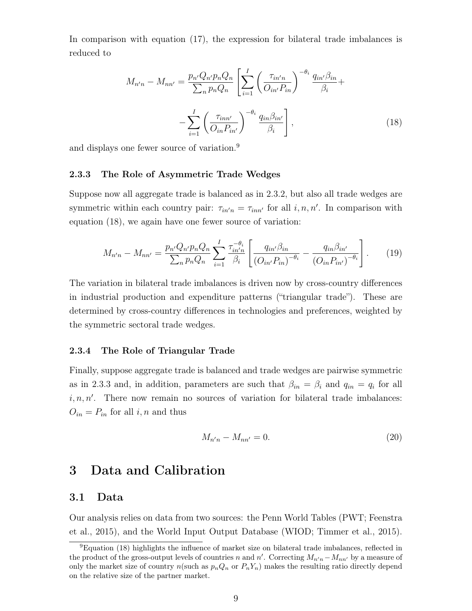In comparison with equation (17), the expression for bilateral trade imbalances is reduced to

$$
M_{n'n} - M_{nn'} = \frac{p_{n'}Q_{n'}p_nQ_n}{\sum_n p_nQ_n} \left[ \sum_{i=1}^I \left( \frac{\tau_{in'n}}{O_{in'}P_{in}} \right)^{-\theta_i} \frac{q_{in'}\beta_{in}}{\beta_i} + \right.
$$

$$
- \sum_{i=1}^I \left( \frac{\tau_{inn'}}{O_{in}P_{in'}} \right)^{-\theta_i} \frac{q_{in}\beta_{in'}}{\beta_i}, \tag{18}
$$

and displays one fewer source of variation.<sup>9</sup>

#### 2.3.3 The Role of Asymmetric Trade Wedges

Suppose now all aggregate trade is balanced as in 2.3.2, but also all trade wedges are symmetric within each country pair:  $\tau_{in'n} = \tau_{inn'}$  for all  $i, n, n'$ . In comparison with equation (18), we again have one fewer source of variation:

$$
M_{n'n} - M_{nn'} = \frac{p_{n'}Q_{n'}p_nQ_n}{\sum_n p_nQ_n} \sum_{i=1}^I \frac{\tau_{in'n}^{-\theta_i}}{\beta_i} \left[ \frac{q_{in'}\beta_{in}}{(O_{in'}P_{in})^{-\theta_i}} - \frac{q_{in}\beta_{in'}}{(O_{in}P_{in'})^{-\theta_i}} \right].
$$
 (19)

The variation in bilateral trade imbalances is driven now by cross-country differences in industrial production and expenditure patterns ("triangular trade"). These are determined by cross-country differences in technologies and preferences, weighted by the symmetric sectoral trade wedges.

#### 2.3.4 The Role of Triangular Trade

Finally, suppose aggregate trade is balanced and trade wedges are pairwise symmetric as in 2.3.3 and, in addition, parameters are such that  $\beta_{in} = \beta_i$  and  $q_{in} = q_i$  for all  $i, n, n'$ . There now remain no sources of variation for bilateral trade imbalances:  $O_{in} = P_{in}$  for all i, n and thus

$$
M_{n'n} - M_{nn'} = 0.
$$
\n(20)

## 3 Data and Calibration

### 3.1 Data

Our analysis relies on data from two sources: the Penn World Tables (PWT; Feenstra et al., 2015), and the World Input Output Database (WIOD; Timmer et al., 2015).

<sup>9</sup>Equation (18) highlights the influence of market size on bilateral trade imbalances, reflected in the product of the gross-output levels of countries n and n'. Correcting  $M_{n'n} - M_{nn'}$  by a measure of only the market size of country  $n(\text{such as }p_nQ_n \text{ or } P_nY_n)$  makes the resulting ratio directly depend on the relative size of the partner market.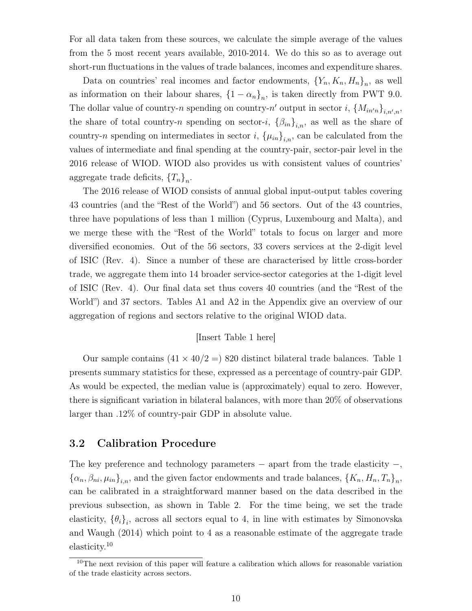For all data taken from these sources, we calculate the simple average of the values from the 5 most recent years available, 2010-2014. We do this so as to average out short-run fluctuations in the values of trade balances, incomes and expenditure shares.

Data on countries' real incomes and factor endowments,  ${Y_n, K_n, H_n}_n$ , as well as information on their labour shares,  $\{1 - \alpha_n\}_n$ , is taken directly from PWT 9.0. The dollar value of country-n spending on country-n' output in sector i,  $\{M_{in'n}\}_{i,n',n}$ , the share of total country-n spending on sector-i,  $\{\beta_{in}\}_{i,n}$ , as well as the share of country-n spending on intermediates in sector i,  $\{\mu_{in}\}_{i,n}$ , can be calculated from the values of intermediate and final spending at the country-pair, sector-pair level in the 2016 release of WIOD. WIOD also provides us with consistent values of countries' aggregate trade deficits,  ${T_n}_n$ .

The 2016 release of WIOD consists of annual global input-output tables covering 43 countries (and the "Rest of the World") and 56 sectors. Out of the 43 countries, three have populations of less than 1 million (Cyprus, Luxembourg and Malta), and we merge these with the "Rest of the World" totals to focus on larger and more diversified economies. Out of the 56 sectors, 33 covers services at the 2-digit level of ISIC (Rev. 4). Since a number of these are characterised by little cross-border trade, we aggregate them into 14 broader service-sector categories at the 1-digit level of ISIC (Rev. 4). Our final data set thus covers 40 countries (and the "Rest of the World") and 37 sectors. Tables A1 and A2 in the Appendix give an overview of our aggregation of regions and sectors relative to the original WIOD data.

#### [Insert Table 1 here]

Our sample contains  $(41 \times 40/2 =) 820$  distinct bilateral trade balances. Table 1 presents summary statistics for these, expressed as a percentage of country-pair GDP. As would be expected, the median value is (approximately) equal to zero. However, there is significant variation in bilateral balances, with more than 20% of observations larger than .12% of country-pair GDP in absolute value.

### 3.2 Calibration Procedure

The key preference and technology parameters  $-$  apart from the trade elasticity  $-$ ,  $\{\alpha_n, \beta_{ni}, \mu_{in}\}_{i,n}$ , and the given factor endowments and trade balances,  $\{K_n, H_n, T_n\}_n$ , can be calibrated in a straightforward manner based on the data described in the previous subsection, as shown in Table 2. For the time being, we set the trade elasticity,  $\{\theta_i\}_i$ , across all sectors equal to 4, in line with estimates by Simonovska and Waugh (2014) which point to 4 as a reasonable estimate of the aggregate trade elasticity.<sup>10</sup>

<sup>&</sup>lt;sup>10</sup>The next revision of this paper will feature a calibration which allows for reasonable variation of the trade elasticity across sectors.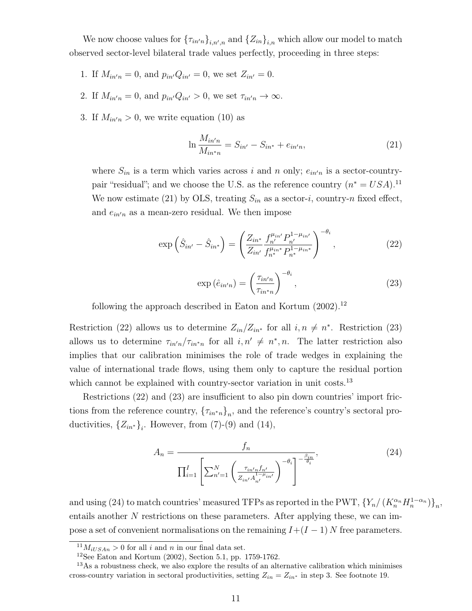We now choose values for  ${\{\tau_{in'n}\}}_{i,n',n}$  and  ${\{Z_{in}\}}_{i,n}$  which allow our model to match observed sector-level bilateral trade values perfectly, proceeding in three steps:

- 1. If  $M_{in'n} = 0$ , and  $p_{in'}Q_{in'} = 0$ , we set  $Z_{in'} = 0$ .
- 2. If  $M_{in'n} = 0$ , and  $p_{in'}Q_{in'} > 0$ , we set  $\tau_{in'n} \to \infty$ .
- 3. If  $M_{in'n} > 0$ , we write equation (10) as

$$
\ln \frac{M_{in'n}}{M_{in*n}} = S_{in'} - S_{in*} + e_{in'n},\tag{21}
$$

where  $S_{in}$  is a term which varies across i and n only;  $e_{in'n}$  is a sector-countrypair "residual"; and we choose the U.S. as the reference country  $(n^* = USA).^{11}$ We now estimate (21) by OLS, treating  $S_{in}$  as a sector-i, country-n fixed effect, and  $e_{in'n}$  as a mean-zero residual. We then impose

$$
\exp\left(\hat{S}_{in'} - \hat{S}_{in^*}\right) = \left(\frac{Z_{in^*}}{Z_{in'}} \frac{f_{n'}^{\mu_{in'}} P_{n'}^{1-\mu_{in'}}}{f_{n^*}^{\mu_{in^*}} P_{n^*}^{1-\mu_{in^*}}}\right)^{-\theta_i},\tag{22}
$$

$$
\exp\left(\hat{e}_{in'n}\right) = \left(\frac{\tau_{in'n}}{\tau_{in*n}}\right)^{-\theta_i},\tag{23}
$$

following the approach described in Eaton and Kortum  $(2002).^{12}$ 

Restriction (22) allows us to determine  $Z_{in}/Z_{in*}$  for all  $i, n \neq n^*$ . Restriction (23) allows us to determine  $\tau_{in'n}/\tau_{in*n}$  for all  $i, n' \neq n^*, n$ . The latter restriction also implies that our calibration minimises the role of trade wedges in explaining the value of international trade flows, using them only to capture the residual portion which cannot be explained with country-sector variation in unit costs.<sup>13</sup>

Restrictions (22) and (23) are insufficient to also pin down countries' import frictions from the reference country,  ${\lbrace \tau_{in^*n} \rbrace}_n$ , and the reference's country's sectoral productivities,  ${Z_{in*}}_i$ . However, from (7)-(9) and (14),

$$
A_n = \frac{f_n}{\prod_{i=1}^I \left[ \sum_{n'=1}^N \left( \frac{\tau_{in'n} f_{n'}}{Z_{in'} A_{n'}^{1-\mu} i_n} \right)^{-\theta_i} \right]^{-\frac{\beta_{in}}{\theta_i}}},\tag{24}
$$

and using (24) to match countries' measured TFPs as reported in the PWT,  $\{Y_n/(K_n^{\alpha_n}H_n^{1-\alpha_n})\}_n$ , entails another  $N$  restrictions on these parameters. After applying these, we can impose a set of convenient normalisations on the remaining  $I+(I-1)N$  free parameters.

<sup>&</sup>lt;sup>11</sup> $M_{iUSA} > 0$  for all i and n in our final data set.

<sup>&</sup>lt;sup>12</sup>See Eaton and Kortum  $(2002)$ , Section 5.1, pp. 1759-1762.

<sup>&</sup>lt;sup>13</sup>As a robustness check, we also explore the results of an alternative calibration which minimises cross-country variation in sectoral productivities, setting  $Z_{in} = Z_{in*}$  in step 3. See footnote 19.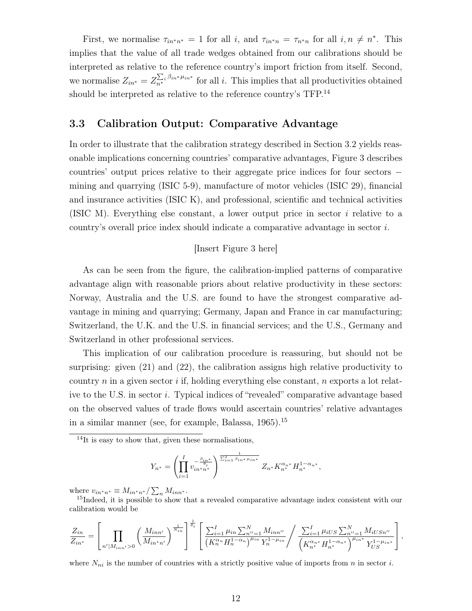First, we normalise  $\tau_{in^*n^*} = 1$  for all i, and  $\tau_{in^*n} = \tau_{n^*n}$  for all  $i, n \neq n^*$ . This implies that the value of all trade wedges obtained from our calibrations should be interpreted as relative to the reference country's import friction from itself. Second, we normalise  $Z_{in^*} = Z_{n^*}^{\sum_i \beta_{in^*} \mu_{in^*}}$  for all *i*. This implies that all productivities obtained should be interpreted as relative to the reference country's TFP.<sup>14</sup>

### 3.3 Calibration Output: Comparative Advantage

In order to illustrate that the calibration strategy described in Section 3.2 yields reasonable implications concerning countries' comparative advantages, Figure 3 describes countries' output prices relative to their aggregate price indices for four sectors − mining and quarrying (ISIC 5-9), manufacture of motor vehicles (ISIC 29), financial and insurance activities (ISIC K), and professional, scientific and technical activities (ISIC M). Everything else constant, a lower output price in sector i relative to a country's overall price index should indicate a comparative advantage in sector i.

#### [Insert Figure 3 here]

As can be seen from the figure, the calibration-implied patterns of comparative advantage align with reasonable priors about relative productivity in these sectors: Norway, Australia and the U.S. are found to have the strongest comparative advantage in mining and quarrying; Germany, Japan and France in car manufacturing; Switzerland, the U.K. and the U.S. in financial services; and the U.S., Germany and Switzerland in other professional services.

This implication of our calibration procedure is reassuring, but should not be surprising: given (21) and (22), the calibration assigns high relative productivity to country  $n$  in a given sector  $i$  if, holding everything else constant,  $n$  exports a lot relative to the U.S. in sector i. Typical indices of "revealed" comparative advantage based on the observed values of trade flows would ascertain countries' relative advantages in a similar manner (see, for example, Balassa,  $1965$ ).<sup>15</sup>

 $14$ It is easy to show that, given these normalisations,

$$
Y_{n^*} = \left(\prod_{i=1}^I v_{in^*n^*}^{-\frac{\beta_{in^*}}{\theta_i}}\right)^{\frac{1}{\sum_{i=1}^I \beta_{in^*} \mu_{in^*}}}\nZ_{n^*} K_{n^*}^{\alpha_{n^*}} H_{n^*}^{1-\alpha_{n^*}},
$$

where  $v_{in^*n^*} \equiv M_{in^*n^*}/\sum_n M_{inn^*}$ .

<sup>15</sup>Indeed, it is possible to show that a revealed comparative advantage index consistent with our calibration would be

$$
\frac{Z_{in}}{Z_{in*}} = \left[\prod_{n'|M_{inn'}>0} \left(\frac{M_{inn'}}{M_{in*n'}}\right)^{\frac{1}{N_{in}}} \right]^{\frac{1}{\theta_i}} \left[\frac{\sum_{i=1}^I \mu_{in} \sum_{n''=1}^N M_{inn''}}{\left(K_n^{\alpha_n} H_n^{1-\alpha_n}\right)^{\mu_{in}} Y_n^{1-\mu_{in}}} / \frac{\sum_{i=1}^I \mu_{iUS} \sum_{n''=1}^N M_{iUSn''}}{\left(K_{n*}^{\alpha_n*} H_{n*}^{1-\alpha_n*}\right)^{\mu_{in*}} Y_{US}^{1-\mu_{in*}}}\right],
$$

where  $N_{ni}$  is the number of countries with a strictly positive value of imports from n in sector i.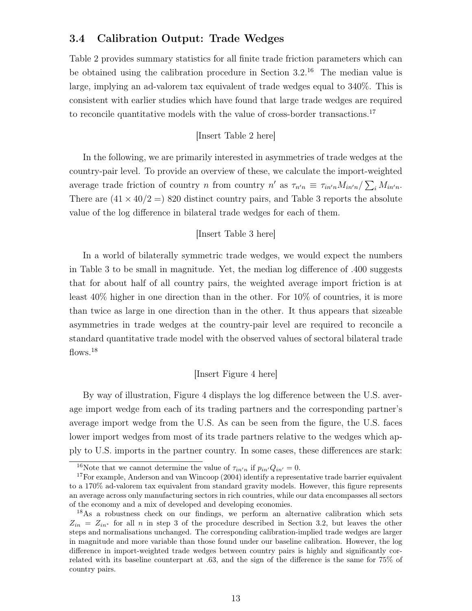### 3.4 Calibration Output: Trade Wedges

Table 2 provides summary statistics for all finite trade friction parameters which can be obtained using the calibration procedure in Section 3.2.<sup>16</sup> The median value is large, implying an ad-valorem tax equivalent of trade wedges equal to 340%. This is consistent with earlier studies which have found that large trade wedges are required to reconcile quantitative models with the value of cross-border transactions.<sup>17</sup>

#### [Insert Table 2 here]

In the following, we are primarily interested in asymmetries of trade wedges at the country-pair level. To provide an overview of these, we calculate the import-weighted average trade friction of country n from country  $n'$  as  $\tau_{n'n} \equiv \tau_{in'n} M_{in'n}/\sum_i M_{in'n}$ . There are  $(41 \times 40/2 =)$  820 distinct country pairs, and Table 3 reports the absolute value of the log difference in bilateral trade wedges for each of them.

#### [Insert Table 3 here]

In a world of bilaterally symmetric trade wedges, we would expect the numbers in Table 3 to be small in magnitude. Yet, the median log difference of .400 suggests that for about half of all country pairs, the weighted average import friction is at least 40% higher in one direction than in the other. For 10% of countries, it is more than twice as large in one direction than in the other. It thus appears that sizeable asymmetries in trade wedges at the country-pair level are required to reconcile a standard quantitative trade model with the observed values of sectoral bilateral trade flows.<sup>18</sup>

#### [Insert Figure 4 here]

By way of illustration, Figure 4 displays the log difference between the U.S. average import wedge from each of its trading partners and the corresponding partner's average import wedge from the U.S. As can be seen from the figure, the U.S. faces lower import wedges from most of its trade partners relative to the wedges which apply to U.S. imports in the partner country. In some cases, these differences are stark:

<sup>&</sup>lt;sup>16</sup>Note that we cannot determine the value of  $\tau_{in'n}$  if  $p_{in'}Q_{in'} = 0$ .

<sup>&</sup>lt;sup>17</sup>For example, Anderson and van Wincoop (2004) identify a representative trade barrier equivalent to a 170% ad-valorem tax equivalent from standard gravity models. However, this figure represents an average across only manufacturing sectors in rich countries, while our data encompasses all sectors of the economy and a mix of developed and developing economies.

<sup>&</sup>lt;sup>18</sup>As a robustness check on our findings, we perform an alternative calibration which sets  $Z_{in} = Z_{in*}$  for all n in step 3 of the procedure described in Section 3.2, but leaves the other steps and normalisations unchanged. The corresponding calibration-implied trade wedges are larger in magnitude and more variable than those found under our baseline calibration. However, the log difference in import-weighted trade wedges between country pairs is highly and significantly correlated with its baseline counterpart at .63, and the sign of the difference is the same for 75% of country pairs.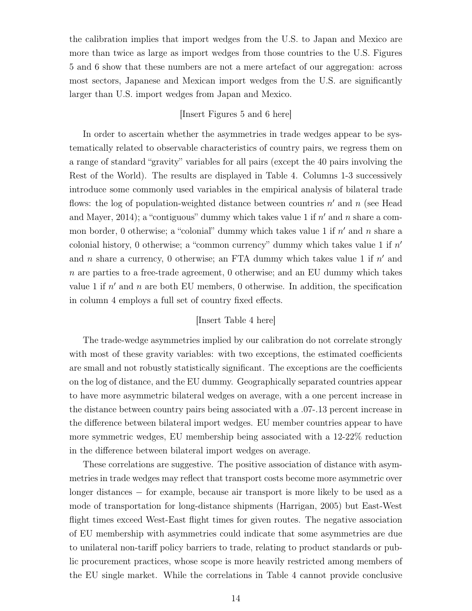the calibration implies that import wedges from the U.S. to Japan and Mexico are more than twice as large as import wedges from those countries to the U.S. Figures 5 and 6 show that these numbers are not a mere artefact of our aggregation: across most sectors, Japanese and Mexican import wedges from the U.S. are significantly larger than U.S. import wedges from Japan and Mexico.

### [Insert Figures 5 and 6 here]

In order to ascertain whether the asymmetries in trade wedges appear to be systematically related to observable characteristics of country pairs, we regress them on a range of standard "gravity" variables for all pairs (except the 40 pairs involving the Rest of the World). The results are displayed in Table 4. Columns 1-3 successively introduce some commonly used variables in the empirical analysis of bilateral trade flows: the log of population-weighted distance between countries  $n'$  and  $n$  (see Head and Mayer, 2014); a "contiguous" dummy which takes value 1 if  $n'$  and n share a common border, 0 otherwise; a "colonial" dummy which takes value 1 if  $n'$  and n share a colonial history, 0 otherwise; a "common currency" dummy which takes value 1 if  $n'$ and n share a currency, 0 otherwise; an FTA dummy which takes value 1 if  $n'$  and  $n$  are parties to a free-trade agreement, 0 otherwise; and an EU dummy which takes value 1 if  $n'$  and n are both EU members, 0 otherwise. In addition, the specification in column 4 employs a full set of country fixed effects.

### [Insert Table 4 here]

The trade-wedge asymmetries implied by our calibration do not correlate strongly with most of these gravity variables: with two exceptions, the estimated coefficients are small and not robustly statistically significant. The exceptions are the coefficients on the log of distance, and the EU dummy. Geographically separated countries appear to have more asymmetric bilateral wedges on average, with a one percent increase in the distance between country pairs being associated with a .07-.13 percent increase in the difference between bilateral import wedges. EU member countries appear to have more symmetric wedges, EU membership being associated with a 12-22% reduction in the difference between bilateral import wedges on average.

These correlations are suggestive. The positive association of distance with asymmetries in trade wedges may reflect that transport costs become more asymmetric over longer distances − for example, because air transport is more likely to be used as a mode of transportation for long-distance shipments (Harrigan, 2005) but East-West flight times exceed West-East flight times for given routes. The negative association of EU membership with asymmetries could indicate that some asymmetries are due to unilateral non-tariff policy barriers to trade, relating to product standards or public procurement practices, whose scope is more heavily restricted among members of the EU single market. While the correlations in Table 4 cannot provide conclusive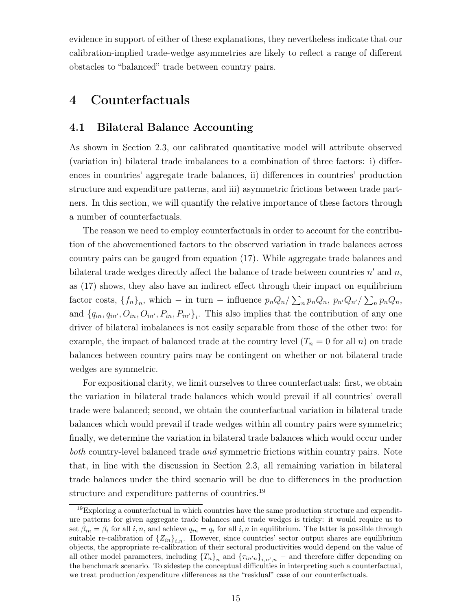evidence in support of either of these explanations, they nevertheless indicate that our calibration-implied trade-wedge asymmetries are likely to reflect a range of different obstacles to "balanced" trade between country pairs.

# 4 Counterfactuals

### 4.1 Bilateral Balance Accounting

As shown in Section 2.3, our calibrated quantitative model will attribute observed (variation in) bilateral trade imbalances to a combination of three factors: i) differences in countries' aggregate trade balances, ii) differences in countries' production structure and expenditure patterns, and iii) asymmetric frictions between trade partners. In this section, we will quantify the relative importance of these factors through a number of counterfactuals.

The reason we need to employ counterfactuals in order to account for the contribution of the abovementioned factors to the observed variation in trade balances across country pairs can be gauged from equation (17). While aggregate trade balances and bilateral trade wedges directly affect the balance of trade between countries  $n'$  and  $n$ , as (17) shows, they also have an indirect effect through their impact on equilibrium factor costs,  ${f_n}_n$ , which – in turn – influence  $p_n Q_n / \sum_n p_n Q_n$ ,  $p_{n'} Q_{n'} / \sum_n p_n Q_n$ , and  $\{q_{in}, q_{in'}, O_{in}, O_{in'}, P_{in}, P_{in'}\}_i$ . This also implies that the contribution of any one driver of bilateral imbalances is not easily separable from those of the other two: for example, the impact of balanced trade at the country level  $(T_n = 0$  for all n) on trade balances between country pairs may be contingent on whether or not bilateral trade wedges are symmetric.

For expositional clarity, we limit ourselves to three counterfactuals: first, we obtain the variation in bilateral trade balances which would prevail if all countries' overall trade were balanced; second, we obtain the counterfactual variation in bilateral trade balances which would prevail if trade wedges within all country pairs were symmetric; finally, we determine the variation in bilateral trade balances which would occur under both country-level balanced trade and symmetric frictions within country pairs. Note that, in line with the discussion in Section 2.3, all remaining variation in bilateral trade balances under the third scenario will be due to differences in the production structure and expenditure patterns of countries.<sup>19</sup>

 $19E$ xploring a counterfactual in which countries have the same production structure and expenditure patterns for given aggregate trade balances and trade wedges is tricky: it would require us to set  $\beta_{in} = \beta_i$  for all i, n, and achieve  $q_{in} = q_i$  for all i, n in equilibrium. The latter is possible through suitable re-calibration of  ${Z_{in}}_{i,n}$ . However, since countries' sector output shares are equilibrium objects, the appropriate re-calibration of their sectoral productivities would depend on the value of all other model parameters, including  ${T_n}_n$  and  ${T_{n'n}}_{i,n',n}$  – and therefore differ depending on the benchmark scenario. To sidestep the conceptual difficulties in interpreting such a counterfactual, we treat production/expenditure differences as the "residual" case of our counterfactuals.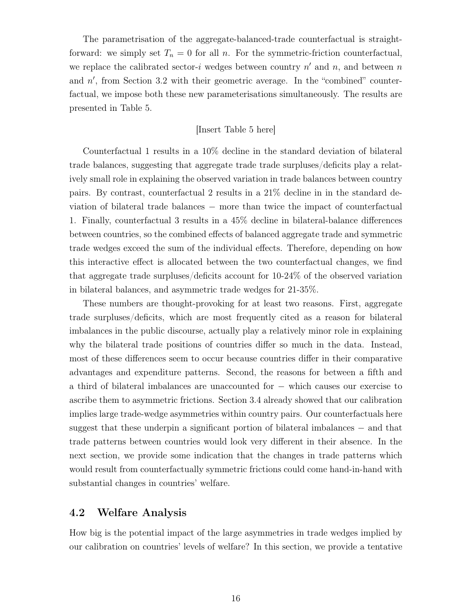The parametrisation of the aggregate-balanced-trade counterfactual is straightforward: we simply set  $T_n = 0$  for all n. For the symmetric-friction counterfactual, we replace the calibrated sector-i wedges between country  $n'$  and  $n$ , and between n and  $n'$ , from Section 3.2 with their geometric average. In the "combined" counterfactual, we impose both these new parameterisations simultaneously. The results are presented in Table 5.

#### [Insert Table 5 here]

Counterfactual 1 results in a 10% decline in the standard deviation of bilateral trade balances, suggesting that aggregate trade trade surpluses/deficits play a relatively small role in explaining the observed variation in trade balances between country pairs. By contrast, counterfactual 2 results in a 21% decline in in the standard deviation of bilateral trade balances – more than twice the impact of counterfactual 1. Finally, counterfactual 3 results in a 45% decline in bilateral-balance differences between countries, so the combined effects of balanced aggregate trade and symmetric trade wedges exceed the sum of the individual effects. Therefore, depending on how this interactive effect is allocated between the two counterfactual changes, we find that aggregate trade surpluses/deficits account for 10-24% of the observed variation in bilateral balances, and asymmetric trade wedges for 21-35%.

These numbers are thought-provoking for at least two reasons. First, aggregate trade surpluses/deficits, which are most frequently cited as a reason for bilateral imbalances in the public discourse, actually play a relatively minor role in explaining why the bilateral trade positions of countries differ so much in the data. Instead, most of these differences seem to occur because countries differ in their comparative advantages and expenditure patterns. Second, the reasons for between a fifth and a third of bilateral imbalances are unaccounted for − which causes our exercise to ascribe them to asymmetric frictions. Section 3.4 already showed that our calibration implies large trade-wedge asymmetries within country pairs. Our counterfactuals here suggest that these underpin a significant portion of bilateral imbalances – and that trade patterns between countries would look very different in their absence. In the next section, we provide some indication that the changes in trade patterns which would result from counterfactually symmetric frictions could come hand-in-hand with substantial changes in countries' welfare.

### 4.2 Welfare Analysis

How big is the potential impact of the large asymmetries in trade wedges implied by our calibration on countries' levels of welfare? In this section, we provide a tentative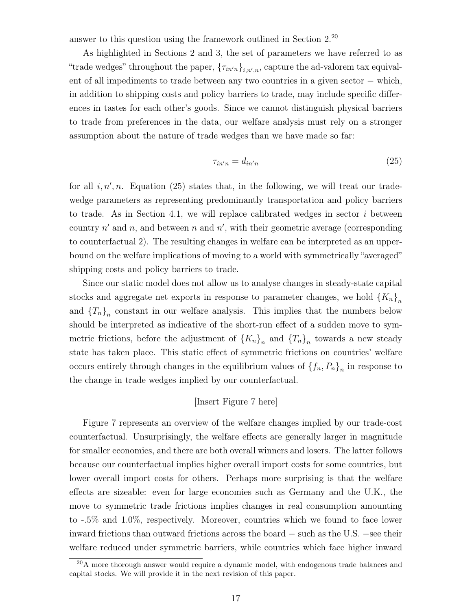answer to this question using the framework outlined in Section 2.<sup>20</sup>

As highlighted in Sections 2 and 3, the set of parameters we have referred to as "trade wedges" throughout the paper,  ${\{\tau_{in'n}\}}_{i,n',n}$ , capture the ad-valorem tax equivalent of all impediments to trade between any two countries in a given sector − which, in addition to shipping costs and policy barriers to trade, may include specific differences in tastes for each other's goods. Since we cannot distinguish physical barriers to trade from preferences in the data, our welfare analysis must rely on a stronger assumption about the nature of trade wedges than we have made so far:

$$
\tau_{in'n} = d_{in'n} \tag{25}
$$

for all  $i, n', n$ . Equation (25) states that, in the following, we will treat our tradewedge parameters as representing predominantly transportation and policy barriers to trade. As in Section 4.1, we will replace calibrated wedges in sector  $i$  between country  $n'$  and  $n$ , and between n and  $n'$ , with their geometric average (corresponding to counterfactual 2). The resulting changes in welfare can be interpreted as an upperbound on the welfare implications of moving to a world with symmetrically "averaged" shipping costs and policy barriers to trade.

Since our static model does not allow us to analyse changes in steady-state capital stocks and aggregate net exports in response to parameter changes, we hold  ${K_n}_n$ and  ${T_n}_n$  constant in our welfare analysis. This implies that the numbers below should be interpreted as indicative of the short-run effect of a sudden move to symmetric frictions, before the adjustment of  ${K_n}_n$  and  ${T_n}_n$  towards a new steady state has taken place. This static effect of symmetric frictions on countries' welfare occurs entirely through changes in the equilibrium values of  $\{f_n, P_n\}_n$  in response to the change in trade wedges implied by our counterfactual.

#### [Insert Figure 7 here]

Figure 7 represents an overview of the welfare changes implied by our trade-cost counterfactual. Unsurprisingly, the welfare effects are generally larger in magnitude for smaller economies, and there are both overall winners and losers. The latter follows because our counterfactual implies higher overall import costs for some countries, but lower overall import costs for others. Perhaps more surprising is that the welfare effects are sizeable: even for large economies such as Germany and the U.K., the move to symmetric trade frictions implies changes in real consumption amounting to -.5% and 1.0%, respectively. Moreover, countries which we found to face lower inward frictions than outward frictions across the board − such as the U.S. −see their welfare reduced under symmetric barriers, while countries which face higher inward

<sup>&</sup>lt;sup>20</sup>A more thorough answer would require a dynamic model, with endogenous trade balances and capital stocks. We will provide it in the next revision of this paper.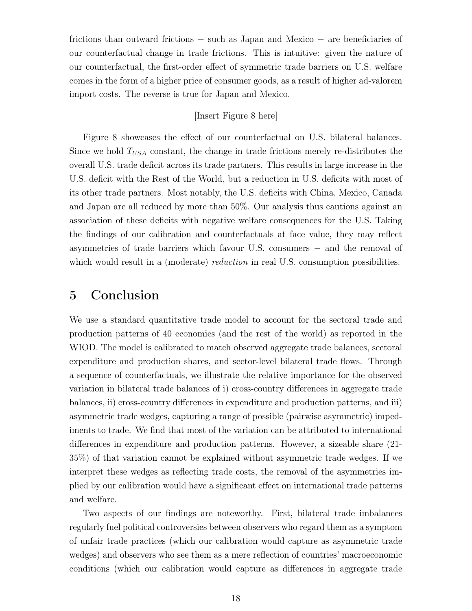frictions than outward frictions − such as Japan and Mexico − are beneficiaries of our counterfactual change in trade frictions. This is intuitive: given the nature of our counterfactual, the first-order effect of symmetric trade barriers on U.S. welfare comes in the form of a higher price of consumer goods, as a result of higher ad-valorem import costs. The reverse is true for Japan and Mexico.

### [Insert Figure 8 here]

Figure 8 showcases the effect of our counterfactual on U.S. bilateral balances. Since we hold  $T_{USA}$  constant, the change in trade frictions merely re-distributes the overall U.S. trade deficit across its trade partners. This results in large increase in the U.S. deficit with the Rest of the World, but a reduction in U.S. deficits with most of its other trade partners. Most notably, the U.S. deficits with China, Mexico, Canada and Japan are all reduced by more than 50%. Our analysis thus cautions against an association of these deficits with negative welfare consequences for the U.S. Taking the findings of our calibration and counterfactuals at face value, they may reflect asymmetries of trade barriers which favour U.S. consumers − and the removal of which would result in a (moderate) *reduction* in real U.S. consumption possibilities.

# 5 Conclusion

We use a standard quantitative trade model to account for the sectoral trade and production patterns of 40 economies (and the rest of the world) as reported in the WIOD. The model is calibrated to match observed aggregate trade balances, sectoral expenditure and production shares, and sector-level bilateral trade flows. Through a sequence of counterfactuals, we illustrate the relative importance for the observed variation in bilateral trade balances of i) cross-country differences in aggregate trade balances, ii) cross-country differences in expenditure and production patterns, and iii) asymmetric trade wedges, capturing a range of possible (pairwise asymmetric) impediments to trade. We find that most of the variation can be attributed to international differences in expenditure and production patterns. However, a sizeable share (21- 35%) of that variation cannot be explained without asymmetric trade wedges. If we interpret these wedges as reflecting trade costs, the removal of the asymmetries implied by our calibration would have a significant effect on international trade patterns and welfare.

Two aspects of our findings are noteworthy. First, bilateral trade imbalances regularly fuel political controversies between observers who regard them as a symptom of unfair trade practices (which our calibration would capture as asymmetric trade wedges) and observers who see them as a mere reflection of countries' macroeconomic conditions (which our calibration would capture as differences in aggregate trade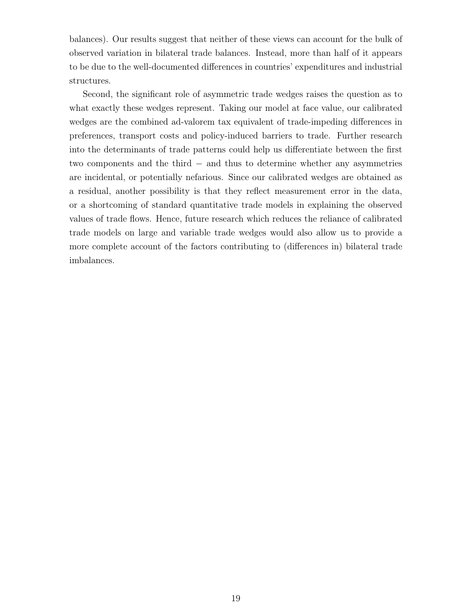balances). Our results suggest that neither of these views can account for the bulk of observed variation in bilateral trade balances. Instead, more than half of it appears to be due to the well-documented differences in countries' expenditures and industrial structures.

Second, the significant role of asymmetric trade wedges raises the question as to what exactly these wedges represent. Taking our model at face value, our calibrated wedges are the combined ad-valorem tax equivalent of trade-impeding differences in preferences, transport costs and policy-induced barriers to trade. Further research into the determinants of trade patterns could help us differentiate between the first two components and the third − and thus to determine whether any asymmetries are incidental, or potentially nefarious. Since our calibrated wedges are obtained as a residual, another possibility is that they reflect measurement error in the data, or a shortcoming of standard quantitative trade models in explaining the observed values of trade flows. Hence, future research which reduces the reliance of calibrated trade models on large and variable trade wedges would also allow us to provide a more complete account of the factors contributing to (differences in) bilateral trade imbalances.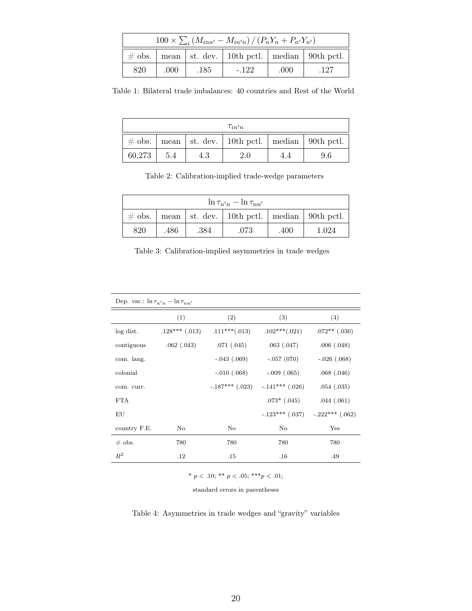| $100 \times \sum_i (M_{inn'} - M_{in'n}) / (P_n Y_n + P_{n'} Y_{n'})$ |       |      |        |      |      |  |  |  |
|-----------------------------------------------------------------------|-------|------|--------|------|------|--|--|--|
| $\#$ obs.   mean   st. dev.   10th pctl.   median   90th pctl.        |       |      |        |      |      |  |  |  |
| 820                                                                   | .000. | .185 | $-122$ | .000 | .127 |  |  |  |

Table 1: Bilateral trade imbalances: 40 countries and Rest of the World

| $\tau_{in'n}$ |     |     |                                                    |     |     |  |  |  |
|---------------|-----|-----|----------------------------------------------------|-----|-----|--|--|--|
| $\#$ obs.     |     |     | mean   st. dev.   10th pctl.   median   90th pctl. |     |     |  |  |  |
| 60,273        | 5.4 | 4.3 | 2.0                                                | 4.4 | 9.6 |  |  |  |

Table 2: Calibration-implied trade-wedge parameters

| $\ln \tau_{n'n} - \ln \tau_{nn'}$ |                                                                |      |      |      |       |  |  |  |  |
|-----------------------------------|----------------------------------------------------------------|------|------|------|-------|--|--|--|--|
|                                   | $\#$ obs.   mean   st. dev.   10th pctl.   median   90th pctl. |      |      |      |       |  |  |  |  |
| 820                               | .486                                                           | .384 | .073 | .400 | 1.024 |  |  |  |  |

Table 3: Calibration-implied asymmetries in trade wedges

| Dep. var.: $\ln \tau_{n'n} - \ln \tau_{nn'}$ |                    |                     |                   |                   |  |  |  |  |
|----------------------------------------------|--------------------|---------------------|-------------------|-------------------|--|--|--|--|
|                                              | (1)                | (2)                 | (3)               | (4)               |  |  |  |  |
| log dist.                                    | $.128***$ $(.013)$ | $.111***(.013)$     | $.102***(.021)$   | $.072**$ (.030)   |  |  |  |  |
| contiguous                                   | .062(.043)         | .071(.045)          | .063(.047)        | .006(.048)        |  |  |  |  |
| com. lang.                                   |                    | $-.043(.069)$       | $-.057(070)$      | $-.026(.068)$     |  |  |  |  |
| colonial                                     |                    | $-.010(.068)$       | $-.009(.065)$     | .068(.046)        |  |  |  |  |
| com. curr.                                   |                    | $-.187***$ $(.023)$ | $-.141***$ (.026) | .054(.035)        |  |  |  |  |
| <b>FTA</b>                                   |                    |                     | $.073*$ $(.045)$  | .044(.061)        |  |  |  |  |
| ΕU                                           |                    |                     | $-.123***$ (.037) | $-.222***$ (.062) |  |  |  |  |
| country F.E.                                 | No                 | No                  | No                | Yes               |  |  |  |  |
| $\#$ obs.                                    | 780                | 780                 | 780               | 780               |  |  |  |  |
| $R^2$                                        | $.12\,$            | .15                 | .16               | .49               |  |  |  |  |

\*  $p < .10$ ; \*\*  $p < .05$ ; \*\*\* $p < .01$ ;

standard errors in parentheses

Table 4: Asymmetries in trade wedges and "gravity" variables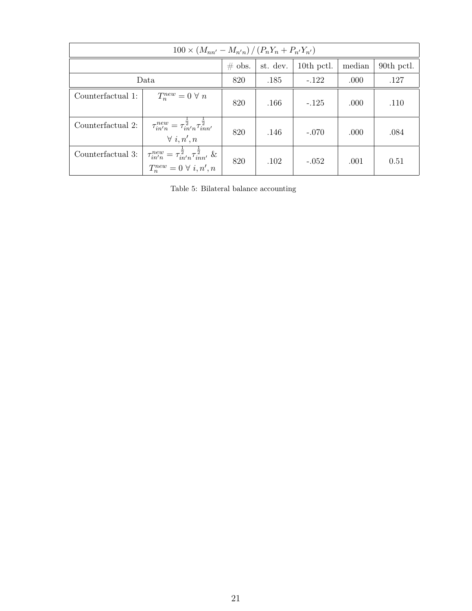| $100 \times (M_{nn'} - M_{n'n}) / (P_n Y_n + P_{n'} Y_{n'})$ |                                                                                                                     |          |            |         |            |      |  |  |
|--------------------------------------------------------------|---------------------------------------------------------------------------------------------------------------------|----------|------------|---------|------------|------|--|--|
|                                                              | $\#$ obs.                                                                                                           | st. dev. | 10th pctl. | median  | 90th pctl. |      |  |  |
| Data                                                         | 820                                                                                                                 | .185     | $-122$     | .000    | .127       |      |  |  |
| Counterfactual 1:                                            | $T_n^{new} = 0 \ \forall \ n$                                                                                       | 820      | .166       | $-.125$ | .000       | .110 |  |  |
| Counterfactual 2:                                            | $\tau_{in'n}^{new} = \tau_{in'n}^{\bar{2}} \tau_{inn'}^{\bar{2}}$<br>$\forall i, n', n$                             | 820      | .146       | $-.070$ | .000       | .084 |  |  |
| Counterfactual 3:                                            | $\tau_{in'n}^{new} = \tau_{in'n}^{\frac{1}{2}} \tau_{inn'}^{\frac{1}{2}}$ &<br>$T_n^{new} = 0 \ \forall \ i, n', n$ | 820      | .102       | $-.052$ | .001       | 0.51 |  |  |

Table 5: Bilateral balance accounting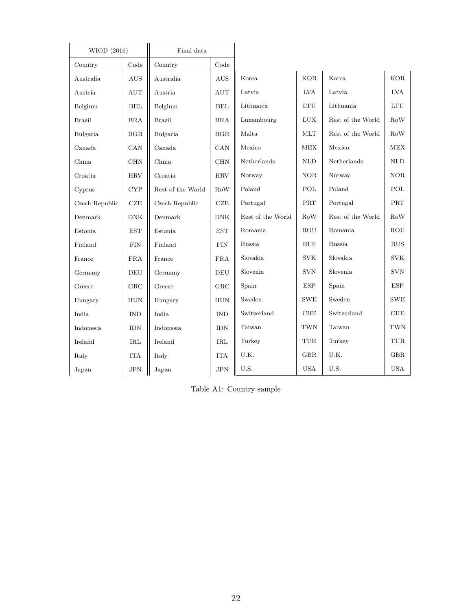| WIOD (2016)    |                             | Final data        |                      |                   |                      |                   |                                   |
|----------------|-----------------------------|-------------------|----------------------|-------------------|----------------------|-------------------|-----------------------------------|
| Country        | Code                        | Country           | Code                 |                   |                      |                   |                                   |
| Australia      | AUS                         | Australia         | <b>AUS</b>           | Korea             | <b>KOR</b>           | Korea             | <b>KOR</b>                        |
| Austria        | $\mathop{\rm AUT}\nolimits$ | Austria           | AUT                  | Latvia            | <b>LVA</b>           | Latvia            | <b>LVA</b>                        |
| Belgium        | BEL                         | Belgium           | $\operatorname{BEL}$ | Lithuania         | $\mathop{\rm LTU}$   | Lithuania         | $\mathop{\rm LTU}$                |
| <b>Brazil</b>  | <b>BRA</b>                  | <b>Brazil</b>     | <b>BRA</b>           | Luxembourg        | $_{\rm LUX}$         | Rest of the World | Row                               |
| Bulgaria       | BGR                         | Bulgaria          | BGR                  | Malta             | <b>MLT</b>           | Rest of the World | RoW                               |
| Canada         | CAN                         | Canada            | CAN                  | Mexico            | <b>MEX</b>           | Mexico            | <b>MEX</b>                        |
| China          | CHN                         | China             | <b>CHN</b>           | Netherlands       | $\mbox{NLD}$         | Netherlands       | $\mbox{NLD}$                      |
| Croatia        | <b>HRV</b>                  | Croatia           | <b>HRV</b>           | Norway            | <b>NOR</b>           | Norway            | <b>NOR</b>                        |
| Cyprus         | CYP                         | Rest of the World | RoW                  | Poland            | POL                  | Poland            | POL                               |
| Czech Republic | $CZE$                       | Czech Republic    | $CZE$                | Portugal          | PRT                  | Portugal          | PRT                               |
| Denmark        | $\rm{DNK}$                  | Denmark           | ${\rm DNK}$          | Rest of the World | RoW                  | Rest of the World | RoW                               |
| Estonia        | <b>EST</b>                  | Estonia           | <b>EST</b>           | Romania           | ROU                  | Romania           | <b>ROU</b>                        |
| Finland        | <b>FIN</b>                  | Finland           | <b>FIN</b>           | Russia            | RUS                  | Russia            | <b>RUS</b>                        |
| France         | ${\rm FRA}$                 | France            | <b>FRA</b>           | Slovakia          | <b>SVK</b>           | Slovakia          | <b>SVK</b>                        |
| Germany        | DEU                         | Germany           | <b>DEU</b>           | Slovenia          | <b>SVN</b>           | Slovenia          | <b>SVN</b>                        |
| Greece         | GRC                         | Greece            | GRC                  | Spain             | <b>ESP</b>           | Spain             | ESP                               |
| Hungary        | <b>HUN</b>                  | Hungary           | <b>HUN</b>           | Sweden            | <b>SWE</b>           | Sweden            | <b>SWE</b>                        |
| India          | <b>IND</b>                  | India             | <b>IND</b>           | Switzerland       | CHE                  | Switzerland       | CHE                               |
| Indonesia      | <b>IDN</b>                  | Indonesia         | <b>IDN</b>           | Taiwan            | <b>TWN</b>           | Taiwan            | <b>TWN</b>                        |
| Ireland        | $\operatorname{IRL}$        | Ireland           | <b>IRL</b>           | Turkey            | $\operatorname{TUR}$ | Turkey            | $_{\mbox{\footnotesize\sc{TUR}}}$ |
| Italy          | <b>ITA</b>                  | Italy             | <b>ITA</b>           | U.K.              | GBR                  | U.K.              | <b>GBR</b>                        |
| Japan          | $_{\rm JPN}$                | Japan             | <b>JPN</b>           | U.S.              | <b>USA</b>           | U.S.              | <b>USA</b>                        |

Table A1: Country sample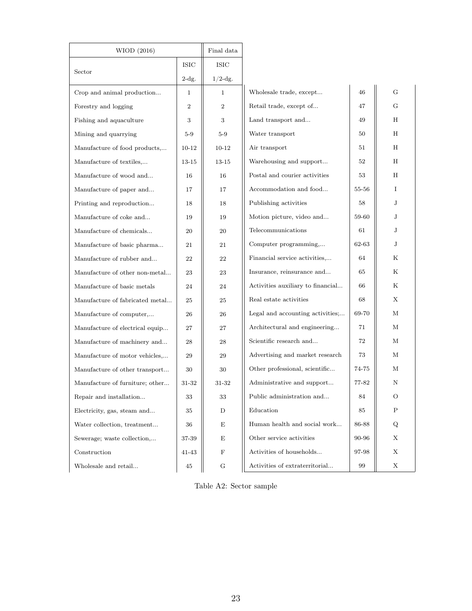| WIOD (2016)                     |                | Final data     |                                   |       |    |
|---------------------------------|----------------|----------------|-----------------------------------|-------|----|
|                                 | <b>ISIC</b>    | <b>ISIC</b>    |                                   |       |    |
| Sector                          | $2-dg.$        | $1/2$ -dg.     |                                   |       |    |
| Crop and animal production      | $\mathbf{1}$   | $\mathbf{1}$   | Wholesale trade, except           | 46    | G  |
| Forestry and logging            | $\overline{2}$ | $\overline{2}$ | Retail trade, except of           | 47    | G  |
| Fishing and aquaculture         | 3              | 3              | Land transport and                | 49    | H  |
| Mining and quarrying            | $5-9$          | $5-9$          | Water transport                   | 50    | H  |
| Manufacture of food products,   | $10 - 12$      | $10 - 12$      | Air transport                     | 51    | H  |
| Manufacture of textiles,        | 13-15          | 13-15          | Warehousing and support           | 52    | Н  |
| Manufacture of wood and         | 16             | 16             | Postal and courier activities     | 53    | H  |
| Manufacture of paper and        | 17             | 17             | Accommodation and food            | 55-56 | Ι. |
| Printing and reproduction       | 18             | 18             | Publishing activities             | 58    | J  |
| Manufacture of coke and         | 19             | 19             | Motion picture, video and         | 59-60 | J  |
| Manufacture of chemicals        | 20             | 20             | Telecommunications                | 61    | J  |
| Manufacture of basic pharma     | 21             | 21             | Computer programming,             | 62-63 | J  |
| Manufacture of rubber and       | 22             | 22             | Financial service activities,     | 64    | Κ  |
| Manufacture of other non-metal  | 23             | 23             | Insurance, reinsurance and        | 65    | Κ  |
| Manufacture of basic metals     | 24             | 24             | Activities auxiliary to financial | 66    | Κ  |
| Manufacture of fabricated metal | 25             | 25             | Real estate activities            | 68    | X  |
| Manufacture of computer         | 26             | 26             | Legal and accounting activities;  | 69-70 | М  |
| Manufacture of electrical equip | 27             | 27             | Architectural and engineering     | 71    | М  |
| Manufacture of machinery and    | 28             | 28             | Scientific research and           | 72    | М  |
| Manufacture of motor vehicles,  | 29             | 29             | Advertising and market research   | 73    | М  |
| Manufacture of other transport  | 30             | 30             | Other professional, scientific    | 74-75 | М  |
| Manufacture of furniture; other | 31-32          | 31-32          | Administrative and support        | 77-82 | Ν  |
| Repair and installation         | 33             | 33             | Public administration and         | 84    | O  |
| Electricity, gas, steam and     | 35             | D              | Education                         | 85    | Ρ  |
| Water collection, treatment     | 36             | Е              | Human health and social work      | 86-88 | Q  |
| Sewerage; waste collection,     | 37-39          | Е              | Other service activities          | 90-96 | Х  |
| Construction                    | 41-43          | $\mathbf F$    | Activities of households          | 97-98 | Х  |
| Wholesale and retail            | 45             | G              | Activities of extraterritorial    | 99    | X  |

Table A2: Sector sample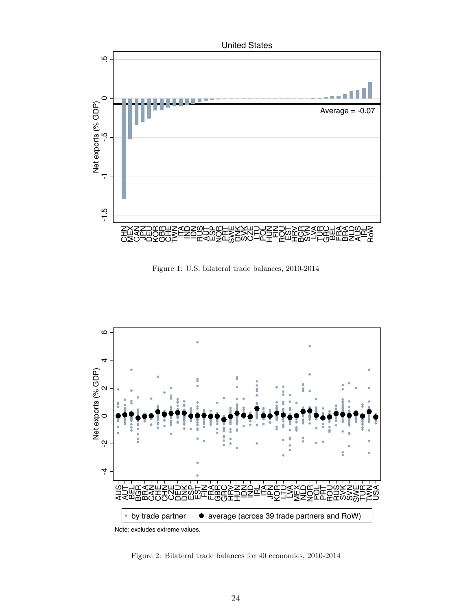

Figure 1: U.S. bilateral trade balances, 2010-2014



Figure 2: Bilateral trade balances for 40 economies, 2010-2014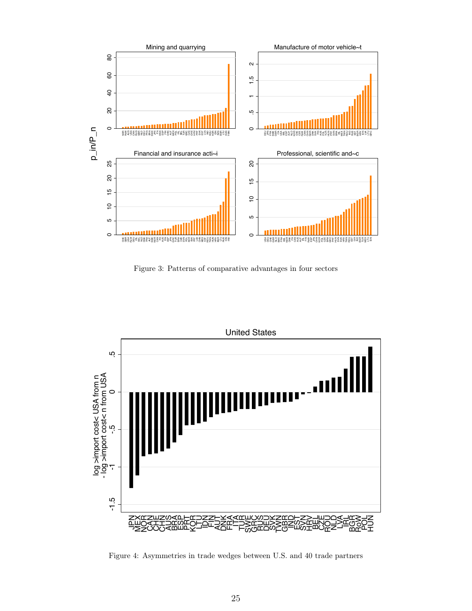

Figure 3: Patterns of comparative advantages in four sectors



Figure 4: Asymmetries in trade wedges between U.S. and 40 trade partners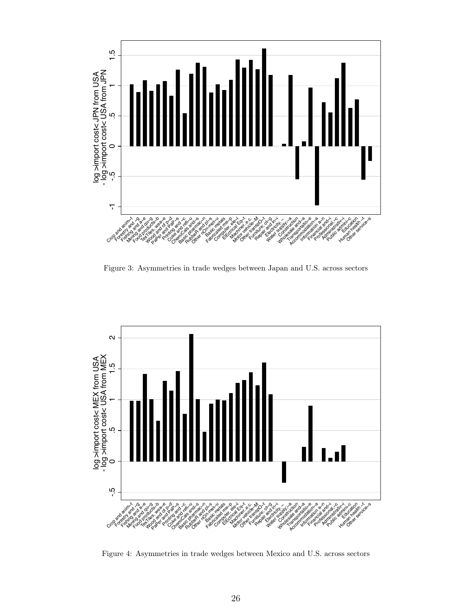

Figure 3: Asymmetries in trade wedges between Japan and U.S. across sectors



Figure 4: Asymmetries in trade wedges between Mexico and U.S. across sectors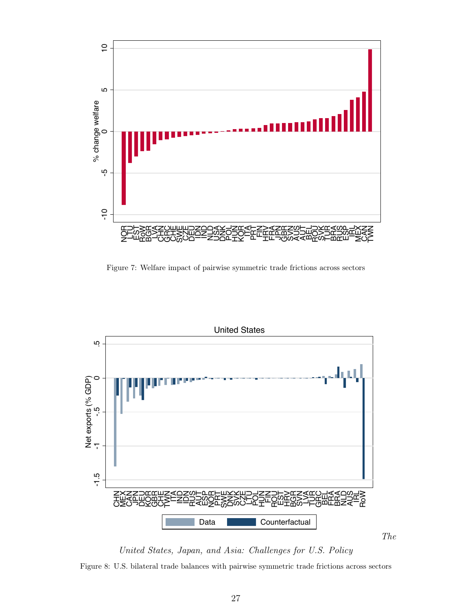

Figure 7: Welfare impact of pairwise symmetric trade frictions across sectors



United States, Japan, and Asia: Challenges for U.S. Policy Figure 8: U.S. bilateral trade balances with pairwise symmetric trade frictions across sectors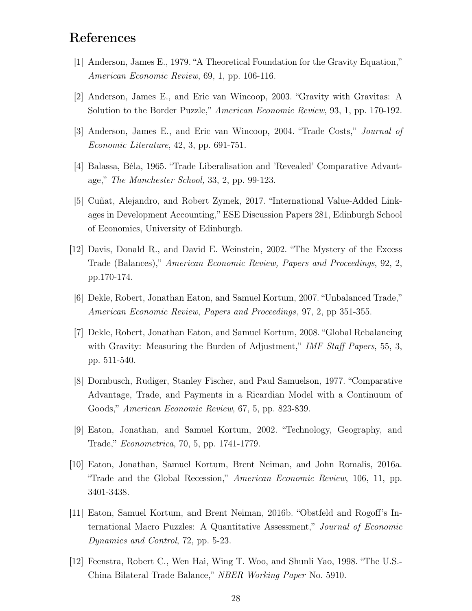# References

- [1] Anderson, James E., 1979. "A Theoretical Foundation for the Gravity Equation," American Economic Review, 69, 1, pp. 106-116.
- [2] Anderson, James E., and Eric van Wincoop, 2003. "Gravity with Gravitas: A Solution to the Border Puzzle," American Economic Review, 93, 1, pp. 170-192.
- [3] Anderson, James E., and Eric van Wincoop, 2004. "Trade Costs," Journal of Economic Literature, 42, 3, pp. 691-751.
- [4] Balassa, Béla, 1965. "Trade Liberalisation and 'Revealed' Comparative Advantage," The Manchester School, 33, 2, pp. 99-123.
- [5] Cuñat, Alejandro, and Robert Zymek, 2017. "International Value-Added Linkages in Development Accounting," ESE Discussion Papers 281, Edinburgh School of Economics, University of Edinburgh.
- [12] Davis, Donald R., and David E. Weinstein, 2002. "The Mystery of the Excess Trade (Balances)," American Economic Review, Papers and Proceedings, 92, 2, pp.170-174.
- [6] Dekle, Robert, Jonathan Eaton, and Samuel Kortum, 2007. "Unbalanced Trade," American Economic Review, Papers and Proceedings, 97, 2, pp 351-355.
- [7] Dekle, Robert, Jonathan Eaton, and Samuel Kortum, 2008. "Global Rebalancing with Gravity: Measuring the Burden of Adjustment," IMF Staff Papers, 55, 3, pp. 511-540.
- [8] Dornbusch, Rudiger, Stanley Fischer, and Paul Samuelson, 1977. "Comparative Advantage, Trade, and Payments in a Ricardian Model with a Continuum of Goods," American Economic Review, 67, 5, pp. 823-839.
- [9] Eaton, Jonathan, and Samuel Kortum, 2002. "Technology, Geography, and Trade," Econometrica, 70, 5, pp. 1741-1779.
- [10] Eaton, Jonathan, Samuel Kortum, Brent Neiman, and John Romalis, 2016a. "Trade and the Global Recession," American Economic Review, 106, 11, pp. 3401-3438.
- [11] Eaton, Samuel Kortum, and Brent Neiman, 2016b. "Obstfeld and Rogoff's International Macro Puzzles: A Quantitative Assessment," Journal of Economic Dynamics and Control, 72, pp. 5-23.
- [12] Feenstra, Robert C., Wen Hai, Wing T. Woo, and Shunli Yao, 1998. "The U.S.- China Bilateral Trade Balance," NBER Working Paper No. 5910.